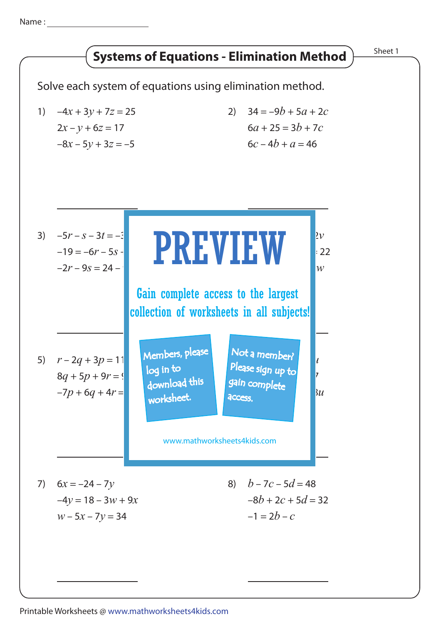Name :